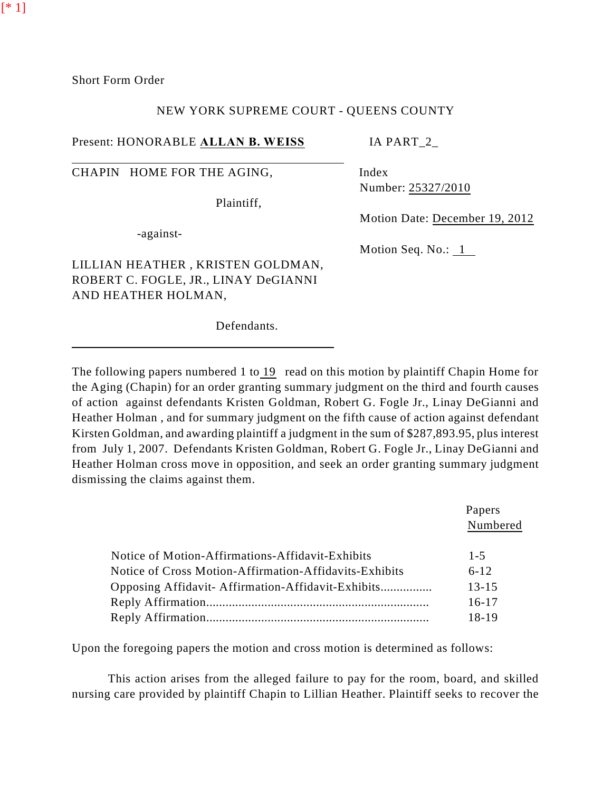Short Form Order

[\* 1]

### NEW YORK SUPREME COURT - QUEENS COUNTY

Present: HONORABLE **ALLAN B. WEISS** IA PART\_2\_

CHAPIN HOME FOR THE AGING, Index

Plaintiff,

-against-

Number: 25327/2010

Motion Date: December 19, 2012

Motion Seq. No.: 1

LILLIAN HEATHER , KRISTEN GOLDMAN, ROBERT C. FOGLE, JR., LINAY DeGIANNI AND HEATHER HOLMAN,

Defendants.

The following papers numbered 1 to 19 read on this motion by plaintiff Chapin Home for the Aging (Chapin) for an order granting summary judgment on the third and fourth causes of action against defendants Kristen Goldman, Robert G. Fogle Jr., Linay DeGianni and Heather Holman , and for summary judgment on the fifth cause of action against defendant Kirsten Goldman, and awarding plaintiff a judgment in the sum of \$287,893.95, plus interest from July 1, 2007. Defendants Kristen Goldman, Robert G. Fogle Jr., Linay DeGianni and Heather Holman cross move in opposition, and seek an order granting summary judgment dismissing the claims against them.

|                                                        | Papers<br>Numbered |
|--------------------------------------------------------|--------------------|
|                                                        |                    |
| Notice of Motion-Affirmations-Affidavit-Exhibits       | $1 - 5$            |
| Notice of Cross Motion-Affirmation-Affidavits-Exhibits | $6 - 12$           |
|                                                        | $13 - 15$          |
|                                                        | $16-17$            |
|                                                        | 18-19              |

Upon the foregoing papers the motion and cross motion is determined as follows:

This action arises from the alleged failure to pay for the room, board, and skilled nursing care provided by plaintiff Chapin to Lillian Heather. Plaintiff seeks to recover the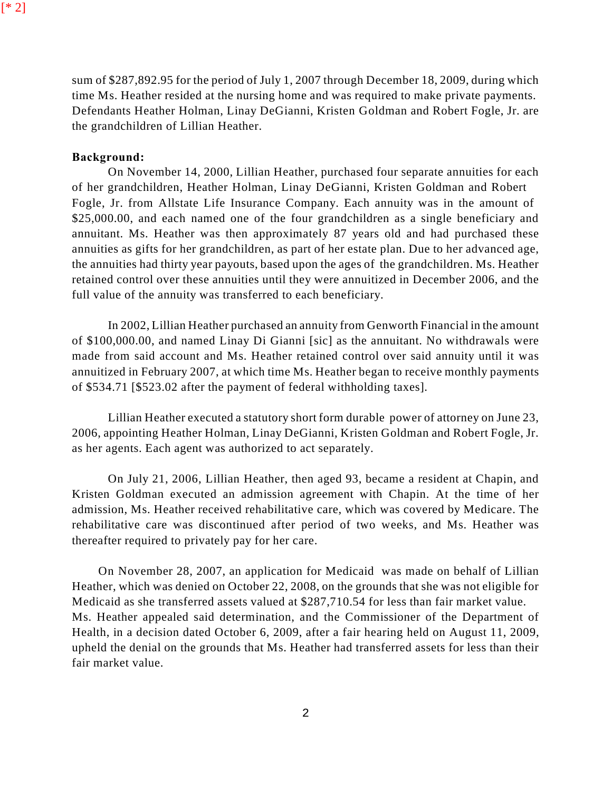[\* 2]

sum of \$287,892.95 for the period of July 1, 2007 through December 18, 2009, during which time Ms. Heather resided at the nursing home and was required to make private payments. Defendants Heather Holman, Linay DeGianni, Kristen Goldman and Robert Fogle, Jr. are the grandchildren of Lillian Heather.

### **Background:**

On November 14, 2000, Lillian Heather, purchased four separate annuities for each of her grandchildren, Heather Holman, Linay DeGianni, Kristen Goldman and Robert Fogle, Jr. from Allstate Life Insurance Company. Each annuity was in the amount of \$25,000.00, and each named one of the four grandchildren as a single beneficiary and annuitant. Ms. Heather was then approximately 87 years old and had purchased these annuities as gifts for her grandchildren, as part of her estate plan. Due to her advanced age, the annuities had thirty year payouts, based upon the ages of the grandchildren. Ms. Heather retained control over these annuities until they were annuitized in December 2006, and the full value of the annuity was transferred to each beneficiary.

In 2002, Lillian Heather purchased an annuity from Genworth Financial in the amount of \$100,000.00, and named Linay Di Gianni [sic] as the annuitant. No withdrawals were made from said account and Ms. Heather retained control over said annuity until it was annuitized in February 2007, at which time Ms. Heather began to receive monthly payments of \$534.71 [\$523.02 after the payment of federal withholding taxes].

Lillian Heather executed a statutory short form durable power of attorney on June 23, 2006, appointing Heather Holman, Linay DeGianni, Kristen Goldman and Robert Fogle, Jr. as her agents. Each agent was authorized to act separately.

On July 21, 2006, Lillian Heather, then aged 93, became a resident at Chapin, and Kristen Goldman executed an admission agreement with Chapin. At the time of her admission, Ms. Heather received rehabilitative care, which was covered by Medicare. The rehabilitative care was discontinued after period of two weeks, and Ms. Heather was thereafter required to privately pay for her care.

On November 28, 2007, an application for Medicaid was made on behalf of Lillian Heather, which was denied on October 22, 2008, on the grounds that she was not eligible for Medicaid as she transferred assets valued at \$287,710.54 for less than fair market value. Ms. Heather appealed said determination, and the Commissioner of the Department of Health, in a decision dated October 6, 2009, after a fair hearing held on August 11, 2009, upheld the denial on the grounds that Ms. Heather had transferred assets for less than their fair market value.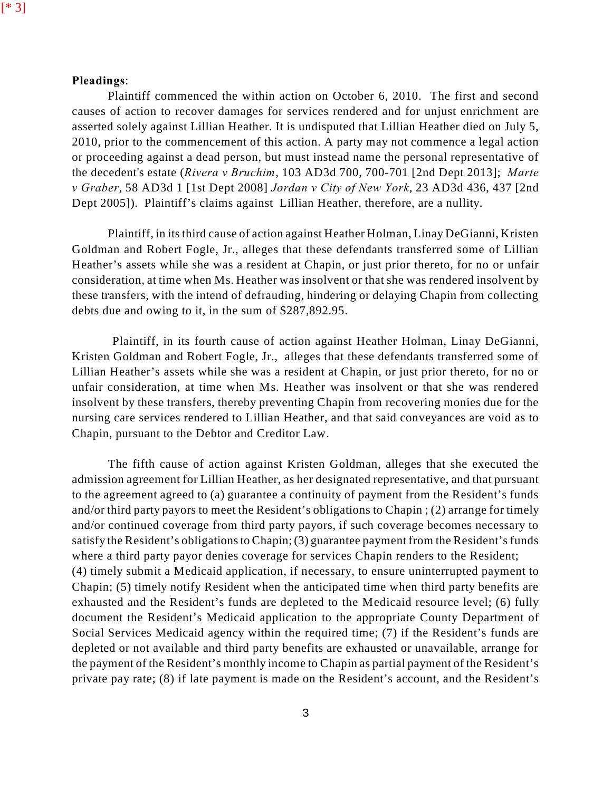[\* 3]

# **Pleadings**:

Plaintiff commenced the within action on October 6, 2010. The first and second causes of action to recover damages for services rendered and for unjust enrichment are asserted solely against Lillian Heather. It is undisputed that Lillian Heather died on July 5, 2010, prior to the commencement of this action. A party may not commence a legal action or proceeding against a dead person, but must instead name the personal representative of the decedent's estate (*Rivera v Bruchim*, 103 AD3d 700, 700-701 [2nd Dept 2013]; *Marte v Graber*, 58 AD3d 1 [1st Dept 2008] *Jordan v City of New York*, 23 AD3d 436, 437 [2nd Dept 2005]). Plaintiff's claims against Lillian Heather, therefore, are a nullity.

Plaintiff, in its third cause of action against Heather Holman, Linay DeGianni, Kristen Goldman and Robert Fogle, Jr., alleges that these defendants transferred some of Lillian Heather's assets while she was a resident at Chapin, or just prior thereto, for no or unfair consideration, at time when Ms. Heather was insolvent or that she was rendered insolvent by these transfers, with the intend of defrauding, hindering or delaying Chapin from collecting debts due and owing to it, in the sum of \$287,892.95.

Plaintiff, in its fourth cause of action against Heather Holman, Linay DeGianni, Kristen Goldman and Robert Fogle, Jr., alleges that these defendants transferred some of Lillian Heather's assets while she was a resident at Chapin, or just prior thereto, for no or unfair consideration, at time when Ms. Heather was insolvent or that she was rendered insolvent by these transfers, thereby preventing Chapin from recovering monies due for the nursing care services rendered to Lillian Heather, and that said conveyances are void as to Chapin, pursuant to the Debtor and Creditor Law.

The fifth cause of action against Kristen Goldman, alleges that she executed the admission agreement for Lillian Heather, as her designated representative, and that pursuant to the agreement agreed to (a) guarantee a continuity of payment from the Resident's funds and/or third party payors to meet the Resident's obligations to Chapin ; (2) arrange for timely and/or continued coverage from third party payors, if such coverage becomes necessary to satisfy the Resident's obligations to Chapin; (3) guarantee payment from the Resident's funds where a third party payor denies coverage for services Chapin renders to the Resident; (4) timely submit a Medicaid application, if necessary, to ensure uninterrupted payment to Chapin; (5) timely notify Resident when the anticipated time when third party benefits are exhausted and the Resident's funds are depleted to the Medicaid resource level; (6) fully document the Resident's Medicaid application to the appropriate County Department of Social Services Medicaid agency within the required time; (7) if the Resident's funds are depleted or not available and third party benefits are exhausted or unavailable, arrange for the payment of the Resident's monthly income to Chapin as partial payment of the Resident's private pay rate; (8) if late payment is made on the Resident's account, and the Resident's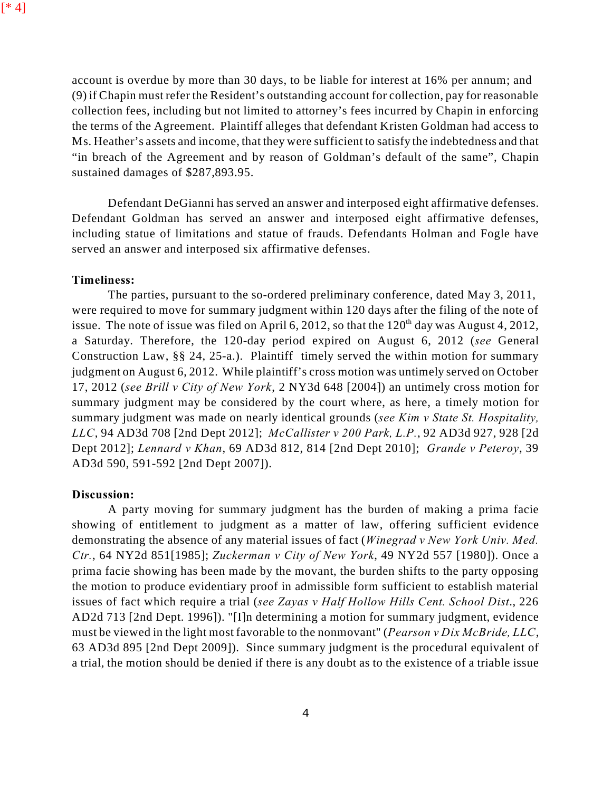account is overdue by more than 30 days, to be liable for interest at 16% per annum; and (9) if Chapin must refer the Resident's outstanding account for collection, pay for reasonable collection fees, including but not limited to attorney's fees incurred by Chapin in enforcing the terms of the Agreement. Plaintiff alleges that defendant Kristen Goldman had access to Ms. Heather's assets and income, that they were sufficient to satisfy the indebtedness and that "in breach of the Agreement and by reason of Goldman's default of the same", Chapin sustained damages of \$287,893.95.

Defendant DeGianni has served an answer and interposed eight affirmative defenses. Defendant Goldman has served an answer and interposed eight affirmative defenses, including statue of limitations and statue of frauds. Defendants Holman and Fogle have served an answer and interposed six affirmative defenses.

### **Timeliness:**

The parties, pursuant to the so-ordered preliminary conference, dated May 3, 2011, were required to move for summary judgment within 120 days after the filing of the note of issue. The note of issue was filed on April 6, 2012, so that the  $120<sup>th</sup>$  day was August 4, 2012, a Saturday. Therefore, the 120-day period expired on August 6, 2012 (*see* General Construction Law, §§ 24, 25-a.). Plaintiff timely served the within motion for summary judgment on August 6, 2012. While plaintiff's cross motion was untimely served on October 17, 2012 (*see Brill v City of New York*, 2 NY3d 648 [2004]) an untimely cross motion for summary judgment may be considered by the court where, as here, a timely motion for summary judgment was made on nearly identical grounds (*see Kim v State St. Hospitality, LLC*, 94 AD3d 708 [2nd Dept 2012]; *McCallister v 200 Park, L.P.*, 92 AD3d 927, 928 [2d Dept 2012]; *Lennard v Khan*, 69 AD3d 812, 814 [2nd Dept 2010]; *Grande v Peteroy*, 39 AD3d 590, 591-592 [2nd Dept 2007]).

#### **Discussion:**

A party moving for summary judgment has the burden of making a prima facie showing of entitlement to judgment as a matter of law, offering sufficient evidence demonstrating the absence of any material issues of fact (*Winegrad v New York Univ. Med. Ctr.*, 64 NY2d 851[1985]; *Zuckerman v City of New York*, 49 NY2d 557 [1980]). Once a prima facie showing has been made by the movant, the burden shifts to the party opposing the motion to produce evidentiary proof in admissible form sufficient to establish material issues of fact which require a trial (*see Zayas v Half Hollow Hills Cent. School Dist*., 226 AD2d 713 [2nd Dept. 1996]). "[I]n determining a motion for summary judgment, evidence must be viewed in the light most favorable to the nonmovant" (*Pearson v Dix McBride, LLC*, 63 AD3d 895 [2nd Dept 2009]). Since summary judgment is the procedural equivalent of a trial, the motion should be denied if there is any doubt as to the existence of a triable issue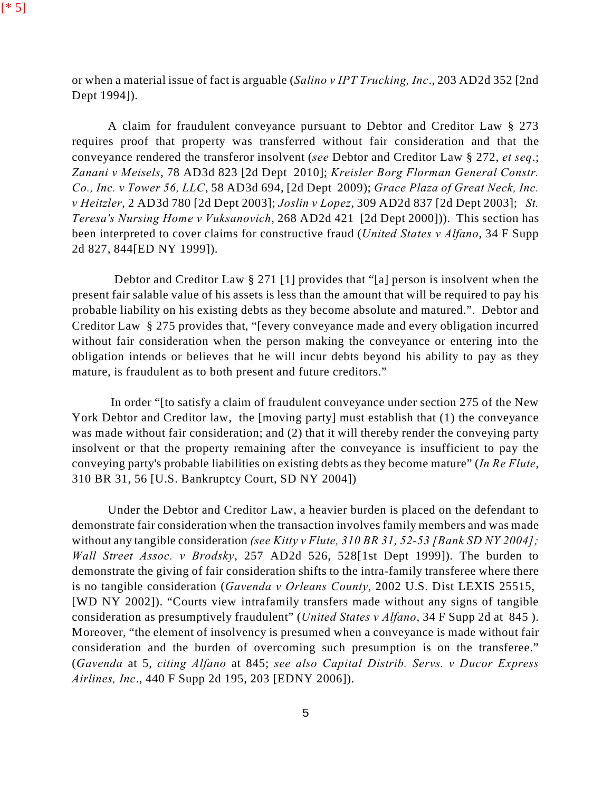or when a material issue of fact is arguable (*Salino v IPT Trucking, Inc*., 203 AD2d 352 [2nd Dept 1994]).

A claim for fraudulent conveyance pursuant to Debtor and Creditor Law § 273 requires proof that property was transferred without fair consideration and that the conveyance rendered the transferor insolvent (*see* Debtor and Creditor Law § 272, *et seq*.; *Zanani v Meisels*, 78 AD3d 823 [2d Dept 2010]; *Kreisler Borg Florman General Constr. Co., Inc. v Tower 56, LLC*, 58 AD3d 694, [2d Dept 2009); *Grace Plaza of Great Neck, Inc. v Heitzler*, 2 AD3d 780 [2d Dept 2003]; *Joslin v Lopez*, 309 AD2d 837 [2d Dept 2003]; *St. Teresa's Nursing Home v Vuksanovich*, 268 AD2d 421 [2d Dept 2000])). This section has been interpreted to cover claims for constructive fraud (*United States v Alfano*, 34 F Supp 2d 827, 844[ED NY 1999]).

Debtor and Creditor Law § 271 [1] provides that "[a] person is insolvent when the present fair salable value of his assets is less than the amount that will be required to pay his probable liability on his existing debts as they become absolute and matured.". Debtor and Creditor Law § 275 provides that, "[every conveyance made and every obligation incurred without fair consideration when the person making the conveyance or entering into the obligation intends or believes that he will incur debts beyond his ability to pay as they mature, is fraudulent as to both present and future creditors."

In order "[to satisfy a claim of fraudulent conveyance under section 275 of the New York Debtor and Creditor law, the [moving party] must establish that (1) the conveyance was made without fair consideration; and (2) that it will thereby render the conveying party insolvent or that the property remaining after the conveyance is insufficient to pay the conveying party's probable liabilities on existing debts as they become mature" (*In Re Flute*, 310 BR 31, 56 [U.S. Bankruptcy Court, SD NY 2004])

Under the Debtor and Creditor Law, a heavier burden is placed on the defendant to demonstrate fair consideration when the transaction involves family members and was made without any tangible consideration *(see Kitty v Flute, 310 BR 31, 52-53 [Bank SD NY 2004]; Wall Street Assoc. v Brodsky*, 257 AD2d 526, 528[1st Dept 1999]). The burden to demonstrate the giving of fair consideration shifts to the intra-family transferee where there is no tangible consideration (*Gavenda v Orleans County*, 2002 U.S. Dist LEXIS 25515, [WD NY 2002]). "Courts view intrafamily transfers made without any signs of tangible consideration as presumptively fraudulent" (*United States v Alfano*, 34 F Supp 2d at 845 ). Moreover, "the element of insolvency is presumed when a conveyance is made without fair consideration and the burden of overcoming such presumption is on the transferee." (*Gavenda* at 5, *citing Alfano* at 845; *see also Capital Distrib. Servs. v Ducor Express Airlines, Inc*., 440 F Supp 2d 195, 203 [EDNY 2006]).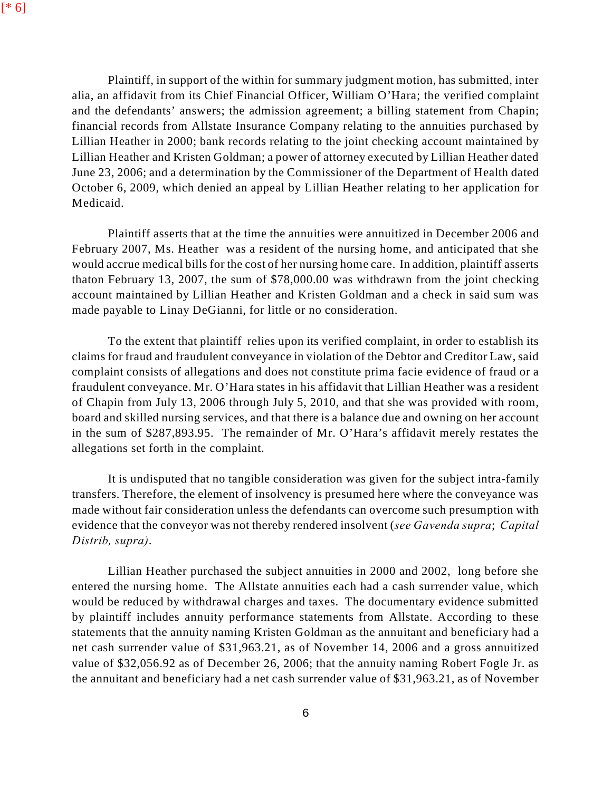Plaintiff, in support of the within for summary judgment motion, has submitted, inter alia, an affidavit from its Chief Financial Officer, William O'Hara; the verified complaint and the defendants' answers; the admission agreement; a billing statement from Chapin; financial records from Allstate Insurance Company relating to the annuities purchased by Lillian Heather in 2000; bank records relating to the joint checking account maintained by Lillian Heather and Kristen Goldman; a power of attorney executed by Lillian Heather dated June 23, 2006; and a determination by the Commissioner of the Department of Health dated October 6, 2009, which denied an appeal by Lillian Heather relating to her application for Medicaid.

Plaintiff asserts that at the time the annuities were annuitized in December 2006 and February 2007, Ms. Heather was a resident of the nursing home, and anticipated that she would accrue medical bills for the cost of her nursing home care. In addition, plaintiff asserts thaton February 13, 2007, the sum of \$78,000.00 was withdrawn from the joint checking account maintained by Lillian Heather and Kristen Goldman and a check in said sum was made payable to Linay DeGianni, for little or no consideration.

To the extent that plaintiff relies upon its verified complaint, in order to establish its claims for fraud and fraudulent conveyance in violation of the Debtor and Creditor Law, said complaint consists of allegations and does not constitute prima facie evidence of fraud or a fraudulent conveyance. Mr. O'Hara states in his affidavit that Lillian Heather was a resident of Chapin from July 13, 2006 through July 5, 2010, and that she was provided with room, board and skilled nursing services, and that there is a balance due and owning on her account in the sum of \$287,893.95. The remainder of Mr. O'Hara's affidavit merely restates the allegations set forth in the complaint.

It is undisputed that no tangible consideration was given for the subject intra-family transfers. Therefore, the element of insolvency is presumed here where the conveyance was made without fair consideration unless the defendants can overcome such presumption with evidence that the conveyor was not thereby rendered insolvent (*see Gavenda supra*; *Capital Distrib, supra)*.

Lillian Heather purchased the subject annuities in 2000 and 2002, long before she entered the nursing home. The Allstate annuities each had a cash surrender value, which would be reduced by withdrawal charges and taxes. The documentary evidence submitted by plaintiff includes annuity performance statements from Allstate. According to these statements that the annuity naming Kristen Goldman as the annuitant and beneficiary had a net cash surrender value of \$31,963.21, as of November 14, 2006 and a gross annuitized value of \$32,056.92 as of December 26, 2006; that the annuity naming Robert Fogle Jr. as the annuitant and beneficiary had a net cash surrender value of \$31,963.21, as of November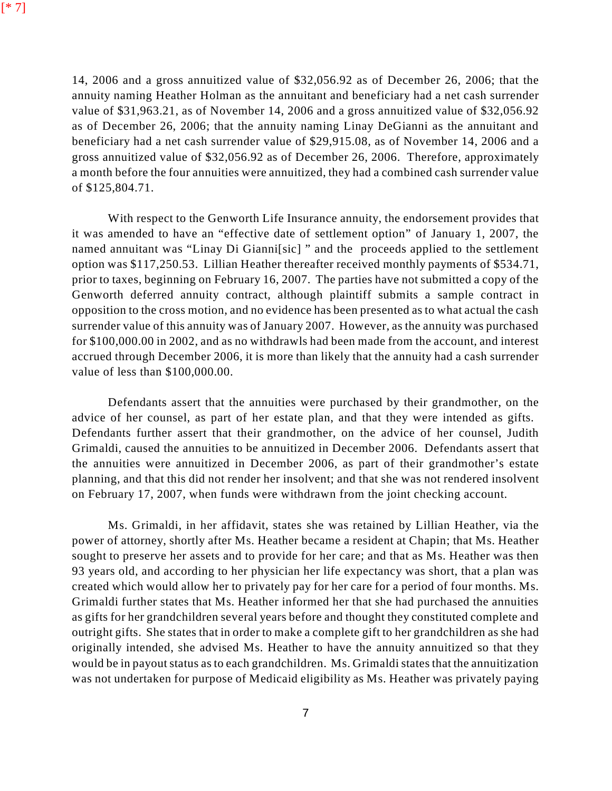14, 2006 and a gross annuitized value of \$32,056.92 as of December 26, 2006; that the annuity naming Heather Holman as the annuitant and beneficiary had a net cash surrender value of \$31,963.21, as of November 14, 2006 and a gross annuitized value of \$32,056.92 as of December 26, 2006; that the annuity naming Linay DeGianni as the annuitant and beneficiary had a net cash surrender value of \$29,915.08, as of November 14, 2006 and a gross annuitized value of \$32,056.92 as of December 26, 2006. Therefore, approximately a month before the four annuities were annuitized, they had a combined cash surrender value of \$125,804.71.

With respect to the Genworth Life Insurance annuity, the endorsement provides that it was amended to have an "effective date of settlement option" of January 1, 2007, the named annuitant was "Linay Di Gianni[sic] " and the proceeds applied to the settlement option was \$117,250.53. Lillian Heather thereafter received monthly payments of \$534.71, prior to taxes, beginning on February 16, 2007. The parties have not submitted a copy of the Genworth deferred annuity contract, although plaintiff submits a sample contract in opposition to the cross motion, and no evidence has been presented as to what actual the cash surrender value of this annuity was of January 2007. However, as the annuity was purchased for \$100,000.00 in 2002, and as no withdrawls had been made from the account, and interest accrued through December 2006, it is more than likely that the annuity had a cash surrender value of less than \$100,000.00.

Defendants assert that the annuities were purchased by their grandmother, on the advice of her counsel, as part of her estate plan, and that they were intended as gifts. Defendants further assert that their grandmother, on the advice of her counsel, Judith Grimaldi, caused the annuities to be annuitized in December 2006. Defendants assert that the annuities were annuitized in December 2006, as part of their grandmother's estate planning, and that this did not render her insolvent; and that she was not rendered insolvent on February 17, 2007, when funds were withdrawn from the joint checking account.

Ms. Grimaldi, in her affidavit, states she was retained by Lillian Heather, via the power of attorney, shortly after Ms. Heather became a resident at Chapin; that Ms. Heather sought to preserve her assets and to provide for her care; and that as Ms. Heather was then 93 years old, and according to her physician her life expectancy was short, that a plan was created which would allow her to privately pay for her care for a period of four months. Ms. Grimaldi further states that Ms. Heather informed her that she had purchased the annuities as gifts for her grandchildren several years before and thought they constituted complete and outright gifts. She states that in order to make a complete gift to her grandchildren as she had originally intended, she advised Ms. Heather to have the annuity annuitized so that they would be in payout status as to each grandchildren. Ms. Grimaldi states that the annuitization was not undertaken for purpose of Medicaid eligibility as Ms. Heather was privately paying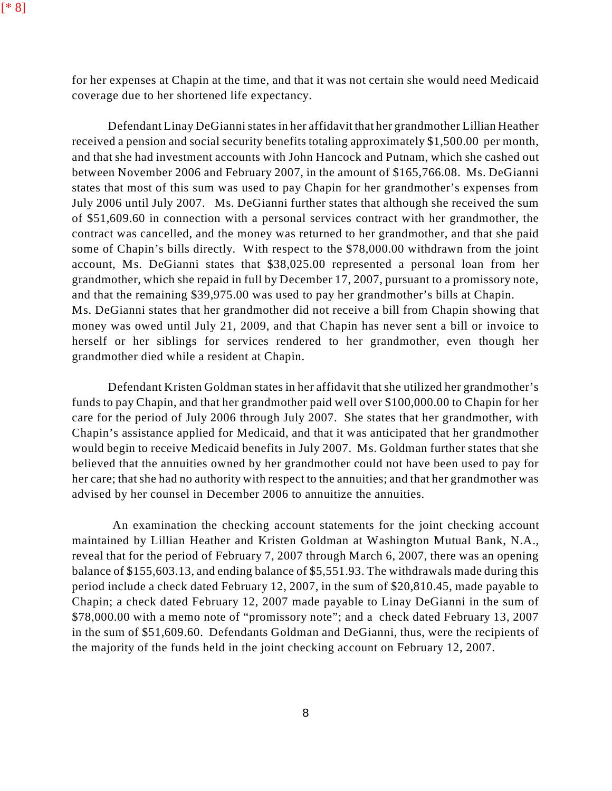for her expenses at Chapin at the time, and that it was not certain she would need Medicaid coverage due to her shortened life expectancy.

Defendant Linay DeGianni states in her affidavit that her grandmother Lillian Heather received a pension and social security benefits totaling approximately \$1,500.00 per month, and that she had investment accounts with John Hancock and Putnam, which she cashed out between November 2006 and February 2007, in the amount of \$165,766.08. Ms. DeGianni states that most of this sum was used to pay Chapin for her grandmother's expenses from July 2006 until July 2007. Ms. DeGianni further states that although she received the sum of \$51,609.60 in connection with a personal services contract with her grandmother, the contract was cancelled, and the money was returned to her grandmother, and that she paid some of Chapin's bills directly. With respect to the \$78,000.00 withdrawn from the joint account, Ms. DeGianni states that \$38,025.00 represented a personal loan from her grandmother, which she repaid in full by December 17, 2007, pursuant to a promissory note, and that the remaining \$39,975.00 was used to pay her grandmother's bills at Chapin. Ms. DeGianni states that her grandmother did not receive a bill from Chapin showing that money was owed until July 21, 2009, and that Chapin has never sent a bill or invoice to herself or her siblings for services rendered to her grandmother, even though her grandmother died while a resident at Chapin.

Defendant Kristen Goldman states in her affidavit that she utilized her grandmother's funds to pay Chapin, and that her grandmother paid well over \$100,000.00 to Chapin for her care for the period of July 2006 through July 2007. She states that her grandmother, with Chapin's assistance applied for Medicaid, and that it was anticipated that her grandmother would begin to receive Medicaid benefits in July 2007. Ms. Goldman further states that she believed that the annuities owned by her grandmother could not have been used to pay for her care; that she had no authority with respect to the annuities; and that her grandmother was advised by her counsel in December 2006 to annuitize the annuities.

An examination the checking account statements for the joint checking account maintained by Lillian Heather and Kristen Goldman at Washington Mutual Bank, N.A., reveal that for the period of February 7, 2007 through March 6, 2007, there was an opening balance of \$155,603.13, and ending balance of \$5,551.93. The withdrawals made during this period include a check dated February 12, 2007, in the sum of \$20,810.45, made payable to Chapin; a check dated February 12, 2007 made payable to Linay DeGianni in the sum of \$78,000.00 with a memo note of "promissory note"; and a check dated February 13, 2007 in the sum of \$51,609.60. Defendants Goldman and DeGianni, thus, were the recipients of the majority of the funds held in the joint checking account on February 12, 2007.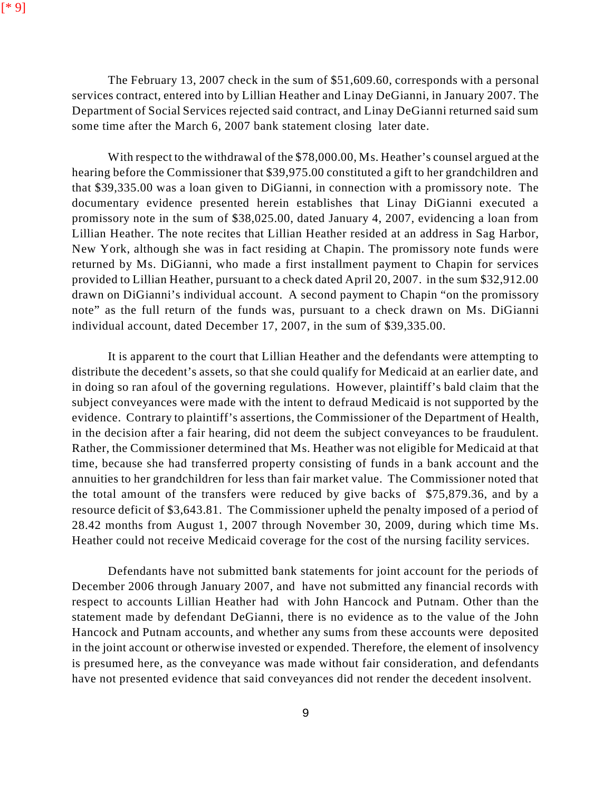The February 13, 2007 check in the sum of \$51,609.60, corresponds with a personal services contract, entered into by Lillian Heather and Linay DeGianni, in January 2007. The Department of Social Services rejected said contract, and Linay DeGianni returned said sum some time after the March 6, 2007 bank statement closing later date.

With respect to the withdrawal of the \$78,000.00, Ms. Heather's counsel argued at the hearing before the Commissioner that \$39,975.00 constituted a gift to her grandchildren and that \$39,335.00 was a loan given to DiGianni, in connection with a promissory note. The documentary evidence presented herein establishes that Linay DiGianni executed a promissory note in the sum of \$38,025.00, dated January 4, 2007, evidencing a loan from Lillian Heather. The note recites that Lillian Heather resided at an address in Sag Harbor, New York, although she was in fact residing at Chapin. The promissory note funds were returned by Ms. DiGianni, who made a first installment payment to Chapin for services provided to Lillian Heather, pursuant to a check dated April 20, 2007. in the sum \$32,912.00 drawn on DiGianni's individual account. A second payment to Chapin "on the promissory note" as the full return of the funds was, pursuant to a check drawn on Ms. DiGianni individual account, dated December 17, 2007, in the sum of \$39,335.00.

It is apparent to the court that Lillian Heather and the defendants were attempting to distribute the decedent's assets, so that she could qualify for Medicaid at an earlier date, and in doing so ran afoul of the governing regulations. However, plaintiff's bald claim that the subject conveyances were made with the intent to defraud Medicaid is not supported by the evidence. Contrary to plaintiff's assertions, the Commissioner of the Department of Health, in the decision after a fair hearing, did not deem the subject conveyances to be fraudulent. Rather, the Commissioner determined that Ms. Heather was not eligible for Medicaid at that time, because she had transferred property consisting of funds in a bank account and the annuities to her grandchildren for less than fair market value. The Commissioner noted that the total amount of the transfers were reduced by give backs of \$75,879.36, and by a resource deficit of \$3,643.81. The Commissioner upheld the penalty imposed of a period of 28.42 months from August 1, 2007 through November 30, 2009, during which time Ms. Heather could not receive Medicaid coverage for the cost of the nursing facility services.

Defendants have not submitted bank statements for joint account for the periods of December 2006 through January 2007, and have not submitted any financial records with respect to accounts Lillian Heather had with John Hancock and Putnam. Other than the statement made by defendant DeGianni, there is no evidence as to the value of the John Hancock and Putnam accounts, and whether any sums from these accounts were deposited in the joint account or otherwise invested or expended. Therefore, the element of insolvency is presumed here, as the conveyance was made without fair consideration, and defendants have not presented evidence that said conveyances did not render the decedent insolvent.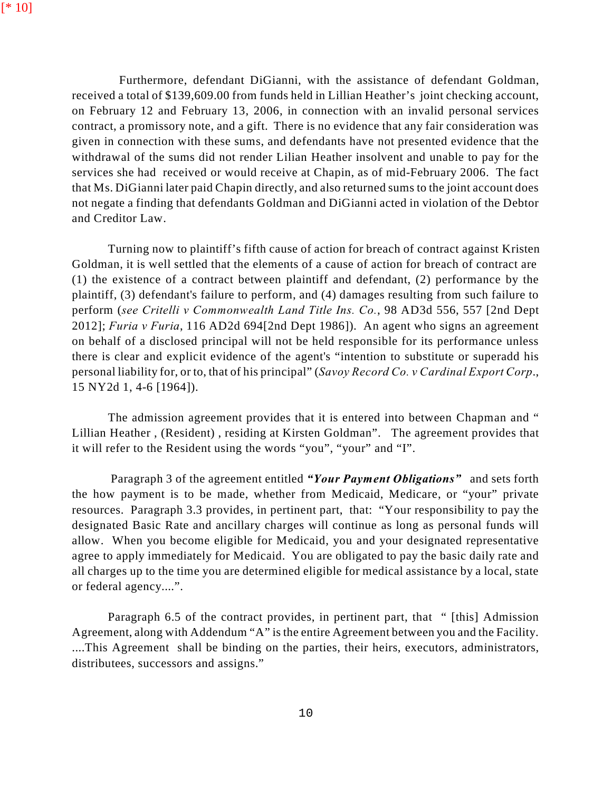Furthermore, defendant DiGianni, with the assistance of defendant Goldman, received a total of \$139,609.00 from funds held in Lillian Heather's joint checking account, on February 12 and February 13, 2006, in connection with an invalid personal services contract, a promissory note, and a gift. There is no evidence that any fair consideration was given in connection with these sums, and defendants have not presented evidence that the withdrawal of the sums did not render Lilian Heather insolvent and unable to pay for the services she had received or would receive at Chapin, as of mid-February 2006. The fact that Ms. DiGianni later paid Chapin directly, and also returned sums to the joint account does not negate a finding that defendants Goldman and DiGianni acted in violation of the Debtor and Creditor Law.

Turning now to plaintiff's fifth cause of action for breach of contract against Kristen Goldman, it is well settled that the elements of a cause of action for breach of contract are (1) the existence of a contract between plaintiff and defendant, (2) performance by the plaintiff, (3) defendant's failure to perform, and (4) damages resulting from such failure to perform (*see Critelli v Commonwealth Land Title Ins. Co.*, 98 AD3d 556, 557 [2nd Dept 2012]; *Furia v Furia*, 116 AD2d 694[2nd Dept 1986]). An agent who signs an agreement on behalf of a disclosed principal will not be held responsible for its performance unless there is clear and explicit evidence of the agent's "intention to substitute or superadd his personal liability for, or to, that of his principal" (*Savoy Record Co. v Cardinal Export Corp*., 15 NY2d 1, 4-6 [1964]).

The admission agreement provides that it is entered into between Chapman and " Lillian Heather , (Resident) , residing at Kirsten Goldman". The agreement provides that it will refer to the Resident using the words "you", "your" and "I".

Paragraph 3 of the agreement entitled *"Your Payment Obligations"* and sets forth the how payment is to be made, whether from Medicaid, Medicare, or "your" private resources. Paragraph 3.3 provides, in pertinent part, that: "Your responsibility to pay the designated Basic Rate and ancillary charges will continue as long as personal funds will allow. When you become eligible for Medicaid, you and your designated representative agree to apply immediately for Medicaid. You are obligated to pay the basic daily rate and all charges up to the time you are determined eligible for medical assistance by a local, state or federal agency....".

Paragraph 6.5 of the contract provides, in pertinent part, that " [this] Admission Agreement, along with Addendum "A" is the entire Agreement between you and the Facility. ....This Agreement shall be binding on the parties, their heirs, executors, administrators, distributees, successors and assigns."